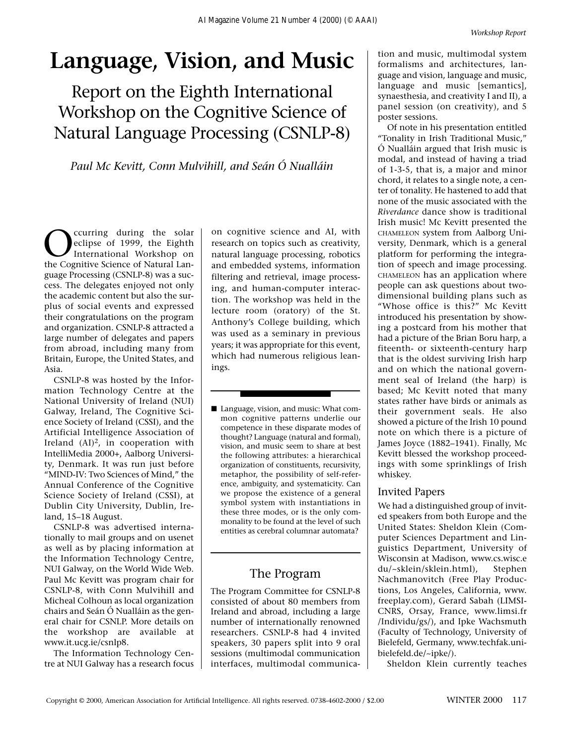## **Language, Vision, and Music**

Report on the Eighth International Workshop on the Cognitive Science of Natural Language Processing (CSNLP-8)

*Paul Mc Kevitt, Conn Mulvihill, and Seán Ó Nualláin*

Curring during the solar<br>
eclipse of 1999, the Eighth<br>
International Workshop on<br>
the Cognitive Science of Natural Laneclipse of 1999, the Eighth International Workshop on the Cognitive Science of Natural Language Processing (CSNLP-8) was a success. The delegates enjoyed not only the academic content but also the surplus of social events and expressed their congratulations on the program and organization. CSNLP-8 attracted a large number of delegates and papers from abroad, including many from Britain, Europe, the United States, and Asia.

CSNLP-8 was hosted by the Information Technology Centre at the National University of Ireland (NUI) Galway, Ireland, The Cognitive Science Society of Ireland (CSSI), and the Artificial Intelligence Association of Ireland  $(AI)^2$ , in cooperation with IntelliMedia 2000+, Aalborg University, Denmark. It was run just before "MIND-IV: Two Sciences of Mind," the Annual Conference of the Cognitive Science Society of Ireland (CSSI), at Dublin City University, Dublin, Ireland, 15–18 August.

CSNLP-8 was advertised internationally to mail groups and on usenet as well as by placing information at the Information Technology Centre, NUI Galway, on the World Wide Web. Paul Mc Kevitt was program chair for CSNLP-8, with Conn Mulvihill and Micheal Colhoun as local organization chairs and Seán Ó Nualláin as the general chair for CSNLP. More details on the workshop are available at www.it.ucg.ie/csnlp8.

The Information Technology Centre at NUI Galway has a research focus on cognitive science and AI, with research on topics such as creativity, natural language processing, robotics and embedded systems, information filtering and retrieval, image processing, and human-computer interaction. The workshop was held in the lecture room (oratory) of the St. Anthony's College building, which was used as a seminary in previous years; it was appropriate for this event, which had numerous religious leanings.

■ Language, vision, and music: What common cognitive patterns underlie our competence in these disparate modes of thought? Language (natural and formal), vision, and music seem to share at best the following attributes: a hierarchical organization of constituents, recursivity, metaphor, the possibility of self-reference, ambiguity, and systematicity. Can we propose the existence of a general symbol system with instantiations in these three modes, or is the only commonality to be found at the level of such entities as cerebral columnar automata?

### The Program

The Program Committee for CSNLP-8 consisted of about 80 members from Ireland and abroad, including a large number of internationally renowned researchers. CSNLP-8 had 4 invited speakers, 30 papers split into 9 oral sessions (multimodal communication interfaces, multimodal communica-

tion and music, multimodal system formalisms and architectures, language and vision, language and music, language and music [semantics], synaesthesia, and creativity I and II), a panel session (on creativity), and 5 poster sessions.

Of note in his presentation entitled "Tonality in Irish Traditional Music," Ó Nualláin argued that Irish music is modal, and instead of having a triad of 1-3-5, that is, a major and minor chord, it relates to a single note, a center of tonality. He hastened to add that none of the music associated with the *Riverdance* dance show is traditional Irish music! Mc Kevitt presented the CHAMELEON system from Aalborg University, Denmark, which is a general platform for performing the integration of speech and image processing. CHAMELEON has an application where people can ask questions about twodimensional building plans such as "Whose office is this?" Mc Kevitt introduced his presentation by showing a postcard from his mother that had a picture of the Brian Boru harp, a fiteenth- or sixteenth-century harp that is the oldest surviving Irish harp and on which the national government seal of Ireland (the harp) is based; Mc Kevitt noted that many states rather have birds or animals as their government seals. He also showed a picture of the Irish 10 pound note on which there is a picture of James Joyce (1882–1941). Finally, Mc Kevitt blessed the workshop proceedings with some sprinklings of Irish whiskey.

#### Invited Papers

We had a distinguished group of invited speakers from both Europe and the United States: Sheldon Klein (Computer Sciences Department and Linguistics Department, University of Wisconsin at Madison, www.cs.wisc.e du/~sklein/sklein.html), Stephen Nachmanovitch (Free Play Productions, Los Angeles, California, www. freeplay.com), Gerard Sabah (LIMSI-CNRS, Orsay, France, www.limsi.fr /Individu/gs/), and Ipke Wachsmuth (Faculty of Technology, University of Bielefeld, Germany, www.techfak.unibielefeld.de/~ipke/).

Sheldon Klein currently teaches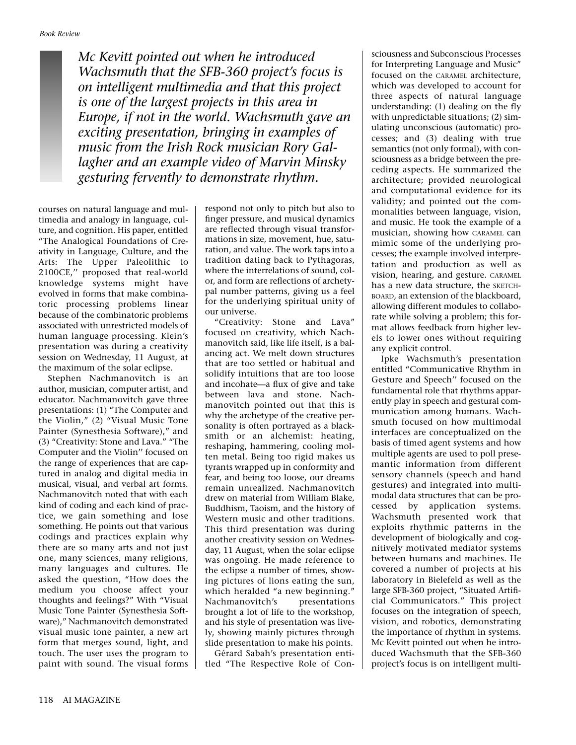*Mc Kevitt pointed out when he introduced Wachsmuth that the SFB-360 project's focus is on intelligent multimedia and that this project is one of the largest projects in this area in Europe, if not in the world. Wachsmuth gave an exciting presentation, bringing in examples of music from the Irish Rock musician Rory Gallagher and an example video of Marvin Minsky gesturing fervently to demonstrate rhythm.*

courses on natural language and multimedia and analogy in language, culture, and cognition. His paper, entitled "The Analogical Foundations of Creativity in Language, Culture, and the Arts: The Upper Paleolithic to 2100CE,'' proposed that real-world knowledge systems might have evolved in forms that make combinatoric processing problems linear because of the combinatoric problems associated with unrestricted models of human language processing. Klein's presentation was during a creativity session on Wednesday, 11 August, at the maximum of the solar eclipse.

Stephen Nachmanovitch is an author, musician, computer artist, and educator. Nachmanovitch gave three presentations: (1) "The Computer and the Violin," (2) "Visual Music Tone Painter (Synesthesia Software)," and (3) "Creativity: Stone and Lava." "The Computer and the Violin'' focused on the range of experiences that are captured in analog and digital media in musical, visual, and verbal art forms. Nachmanovitch noted that with each kind of coding and each kind of practice, we gain something and lose something. He points out that various codings and practices explain why there are so many arts and not just one, many sciences, many religions, many languages and cultures. He asked the question, "How does the medium you choose affect your thoughts and feelings?" With "Visual Music Tone Painter (Synesthesia Software)," Nachmanovitch demonstrated visual music tone painter, a new art form that merges sound, light, and touch. The user uses the program to paint with sound. The visual forms

respond not only to pitch but also to finger pressure, and musical dynamics are reflected through visual transformations in size, movement, hue, saturation, and value. The work taps into a tradition dating back to Pythagoras, where the interrelations of sound, color, and form are reflections of archetypal number patterns, giving us a feel for the underlying spiritual unity of our universe.

"Creativity: Stone and Lava" focused on creativity, which Nachmanovitch said, like life itself, is a balancing act. We melt down structures that are too settled or habitual and solidify intuitions that are too loose and incohate—a flux of give and take between lava and stone. Nachmanovitch pointed out that this is why the archetype of the creative personality is often portrayed as a blacksmith or an alchemist: heating, reshaping, hammering, cooling molten metal. Being too rigid makes us tyrants wrapped up in conformity and fear, and being too loose, our dreams remain unrealized. Nachmanovitch drew on material from William Blake, Buddhism, Taoism, and the history of Western music and other traditions. This third presentation was during another creativity session on Wednesday, 11 August, when the solar eclipse was ongoing. He made reference to the eclipse a number of times, showing pictures of lions eating the sun, which heralded "a new beginning." Nachmanovitch's presentations brought a lot of life to the workshop, and his style of presentation was lively, showing mainly pictures through slide presentation to make his points.

Gérard Sabah's presentation entitled "The Respective Role of Con-

sciousness and Subconscious Processes for Interpreting Language and Music" focused on the CARAMEL architecture, which was developed to account for three aspects of natural language understanding: (1) dealing on the fly with unpredictable situations; (2) simulating unconscious (automatic) processes; and (3) dealing with true semantics (not only formal), with consciousness as a bridge between the preceding aspects. He summarized the architecture; provided neurological and computational evidence for its validity; and pointed out the commonalities between language, vision, and music. He took the example of a musician, showing how CARAMEL can mimic some of the underlying processes; the example involved interpretation and production as well as vision, hearing, and gesture. CARAMEL has a new data structure, the SKETCH-BOARD, an extension of the blackboard, allowing different modules to collaborate while solving a problem; this format allows feedback from higher levels to lower ones without requiring any explicit control.

Ipke Wachsmuth's presentation entitled "Communicative Rhythm in Gesture and Speech'' focused on the fundamental role that rhythms apparently play in speech and gestural communication among humans. Wachsmuth focused on how multimodal interfaces are conceptualized on the basis of timed agent systems and how multiple agents are used to poll presemantic information from different sensory channels (speech and hand gestures) and integrated into multimodal data structures that can be processed by application systems. Wachsmuth presented work that exploits rhythmic patterns in the development of biologically and cognitively motivated mediator systems between humans and machines. He covered a number of projects at his laboratory in Bielefeld as well as the large SFB-360 project, "Situated Artificial Communicators." This project focuses on the integration of speech, vision, and robotics, demonstrating the importance of rhythm in systems. Mc Kevitt pointed out when he introduced Wachsmuth that the SFB-360 project's focus is on intelligent multi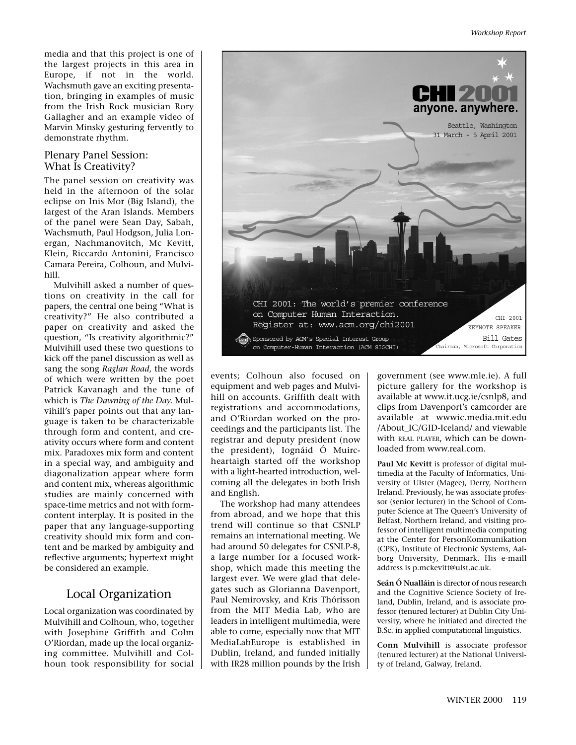media and that this project is one of the largest projects in this area in Europe, if not in the world. Wachsmuth gave an exciting presentation, bringing in examples of music from the Irish Rock musician Rory Gallagher and an example video of Marvin Minsky gesturing fervently to demonstrate rhythm.

#### Plenary Panel Session: What Is Creativity?

The panel session on creativity was held in the afternoon of the solar eclipse on Inis Mor (Big Island), the largest of the Aran Islands. Members of the panel were Sean Day, Sabah, Wachsmuth, Paul Hodgson, Julia Lonergan, Nachmanovitch, Mc Kevitt, Klein, Riccardo Antonini, Francisco Camara Pereira, Colhoun, and Mulvihill.

Mulvihill asked a number of questions on creativity in the call for papers, the central one being "What is creativity?" He also contributed a paper on creativity and asked the question, "Is creativity algorithmic?" Mulvihill used these two questions to kick off the panel discussion as well as sang the song *Raglan Road*, the words of which were written by the poet Patrick Kavanagh and the tune of which is *The Dawning of the Day.* Mulvihill's paper points out that any language is taken to be characterizable through form and content, and creativity occurs where form and content mix. Paradoxes mix form and content in a special way, and ambiguity and diagonalization appear where form and content mix, whereas algorithmic studies are mainly concerned with space-time metrics and not with formcontent interplay. It is posited in the paper that any language-supporting creativity should mix form and content and be marked by ambiguity and reflective arguments; hypertext might be considered an example.

#### Local Organization

Local organization was coordinated by Mulvihill and Colhoun, who, together with Josephine Griffith and Colm O'Riordan, made up the local organizing committee. Mulvihill and Colhoun took responsibility for social



events; Colhoun also focused on equipment and web pages and Mulvihill on accounts. Griffith dealt with registrations and accommodations, and O'Riordan worked on the proceedings and the participants list. The registrar and deputy president (now the president), Iognáid Ó Muircheartaigh started off the workshop with a light-hearted introduction, welcoming all the delegates in both Irish and English.

The workshop had many attendees from abroad, and we hope that this trend will continue so that CSNLP remains an international meeting. We had around 50 delegates for CSNLP-8, a large number for a focused workshop, which made this meeting the largest ever. We were glad that delegates such as Glorianna Davenport, Paul Nemirovsky, and Kris Thórisson from the MIT Media Lab, who are leaders in intelligent multimedia, were able to come, especially now that MIT MediaLabEurope is established in Dublin, Ireland, and funded initially with IR28 million pounds by the Irish government (see www.mle.ie). A full picture gallery for the workshop is available at www.it.ucg.ie/csnlp8, and clips from Davenport's camcorder are available at wwwic.media.mit.edu /About\_IC/GID-Iceland/ and viewable with REAL PLAYER, which can be downloaded from www.real.com.

**Paul Mc Kevitt** is professor of digital multimedia at the Faculty of Informatics, University of Ulster (Magee), Derry, Northern Ireland. Previously, he was associate professor (senior lecturer) in the School of Computer Science at The Queen's University of Belfast, Northern Ireland, and visiting professor of intelligent multimedia computing at the Center for PersonKommunikation (CPK), Institute of Electronic Systems, Aalborg University, Denmark. His e-maill address is p.mckevitt@ulst.ac.uk.

**Seán Ó Nualláin** is director of nous research and the Cognitive Science Society of Ireland, Dublin, Ireland, and is associate professor (tenured lecturer) at Dublin City University, where he initiated and directed the B.Sc. in applied computational linguistics.

**Conn Mulvihill** is associate professor (tenured lecturer) at the National University of Ireland, Galway, Ireland.